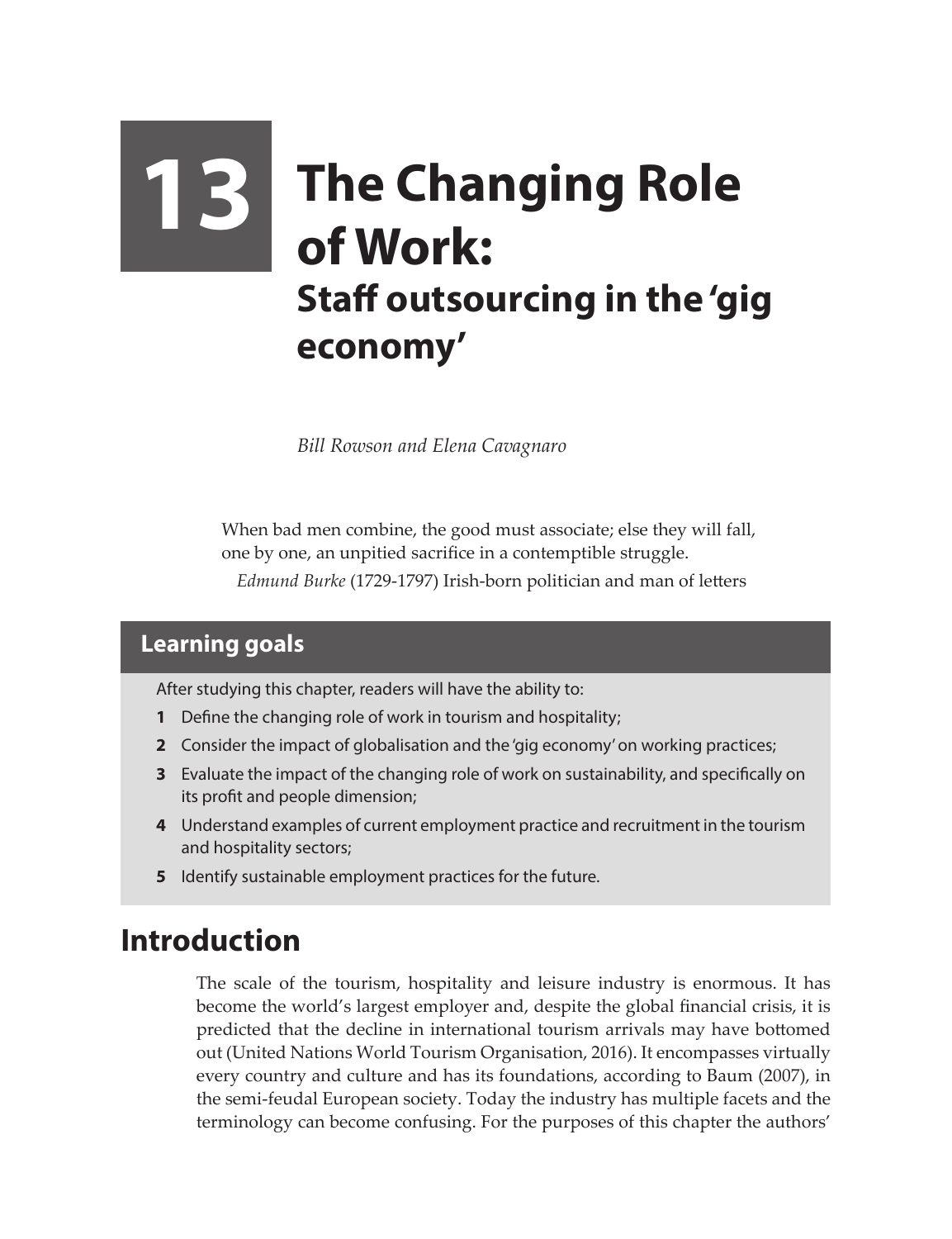# **13 The Changing Role Staff outsourcing in the 'gig economy'**

*Bill Rowson and Elena Cavagnaro*

When bad men combine, the good must associate; else they will fall, one by one, an unpitied sacrifice in a contemptible struggle.

*Edmund Burke* (1729-1797) Irish-born politician and man of letters

### **Learning goals**

After studying this chapter, readers will have the ability to:

- **1** Define the changing role of work in tourism and hospitality;
- **2** Consider the impact of globalisation and the 'gig economy' on working practices;
- **3** Evaluate the impact of the changing role of work on sustainability, and specifically on its profit and people dimension;
- **4** Understand examples of current employment practice and recruitment in the tourism and hospitality sectors;
- **5** Identify sustainable employment practices for the future.

# **Introduction**

The scale of the tourism, hospitality and leisure industry is enormous. It has become the world's largest employer and, despite the global financial crisis, it is predicted that the decline in international tourism arrivals may have bottomed out (United Nations World Tourism Organisation, 2016). It encompasses virtually every country and culture and has its foundations, according to Baum (2007), in the semi-feudal European society. Today the industry has multiple facets and the terminology can become confusing. For the purposes of this chapter the authors'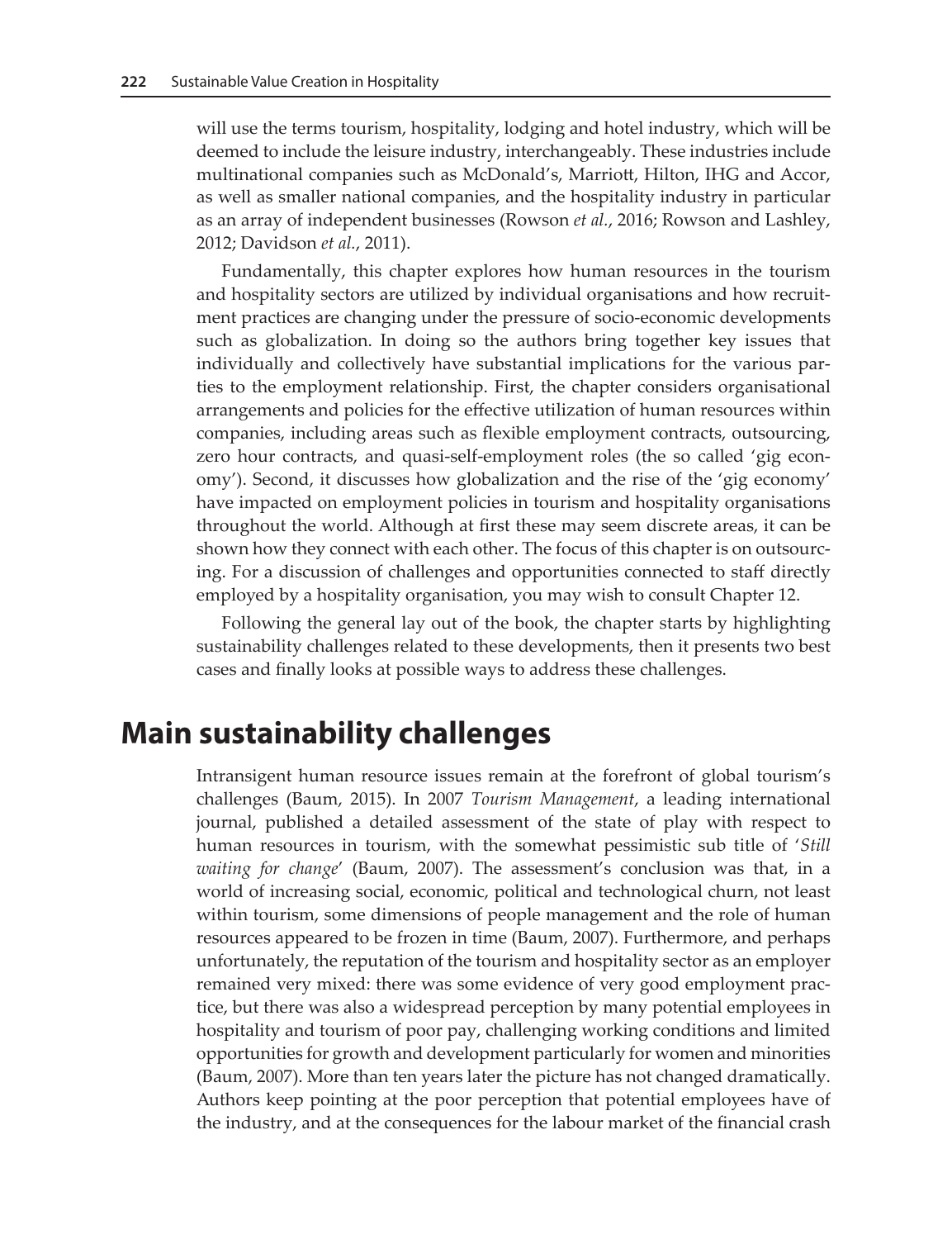will use the terms tourism, hospitality, lodging and hotel industry, which will be deemed to include the leisure industry, interchangeably. These industries include multinational companies such as McDonald's, Marriott, Hilton, IHG and Accor, as well as smaller national companies, and the hospitality industry in particular as an array of independent businesses (Rowson *et al.*, 2016; Rowson and Lashley, 2012; Davidson *et al.*, 2011).

Fundamentally, this chapter explores how human resources in the tourism and hospitality sectors are utilized by individual organisations and how recruitment practices are changing under the pressure of socio-economic developments such as globalization. In doing so the authors bring together key issues that individually and collectively have substantial implications for the various parties to the employment relationship. First, the chapter considers organisational arrangements and policies for the effective utilization of human resources within companies, including areas such as flexible employment contracts, outsourcing, zero hour contracts, and quasi-self-employment roles (the so called 'gig economy'). Second, it discusses how globalization and the rise of the 'gig economy' have impacted on employment policies in tourism and hospitality organisations throughout the world. Although at first these may seem discrete areas, it can be shown how they connect with each other. The focus of this chapter is on outsourcing. For a discussion of challenges and opportunities connected to staff directly employed by a hospitality organisation, you may wish to consult Chapter 12.

Following the general lay out of the book, the chapter starts by highlighting sustainability challenges related to these developments, then it presents two best cases and finally looks at possible ways to address these challenges.

## **Main sustainability challenges**

Intransigent human resource issues remain at the forefront of global tourism's challenges (Baum, 2015). In 2007 *Tourism Management*, a leading international journal, published a detailed assessment of the state of play with respect to human resources in tourism, with the somewhat pessimistic sub title of '*Still waiting for change*' (Baum, 2007). The assessment's conclusion was that, in a world of increasing social, economic, political and technological churn, not least within tourism, some dimensions of people management and the role of human resources appeared to be frozen in time (Baum, 2007). Furthermore, and perhaps unfortunately, the reputation of the tourism and hospitality sector as an employer remained very mixed: there was some evidence of very good employment practice, but there was also a widespread perception by many potential employees in hospitality and tourism of poor pay, challenging working conditions and limited opportunities for growth and development particularly for women and minorities (Baum, 2007). More than ten years later the picture has not changed dramatically. Authors keep pointing at the poor perception that potential employees have of the industry, and at the consequences for the labour market of the financial crash